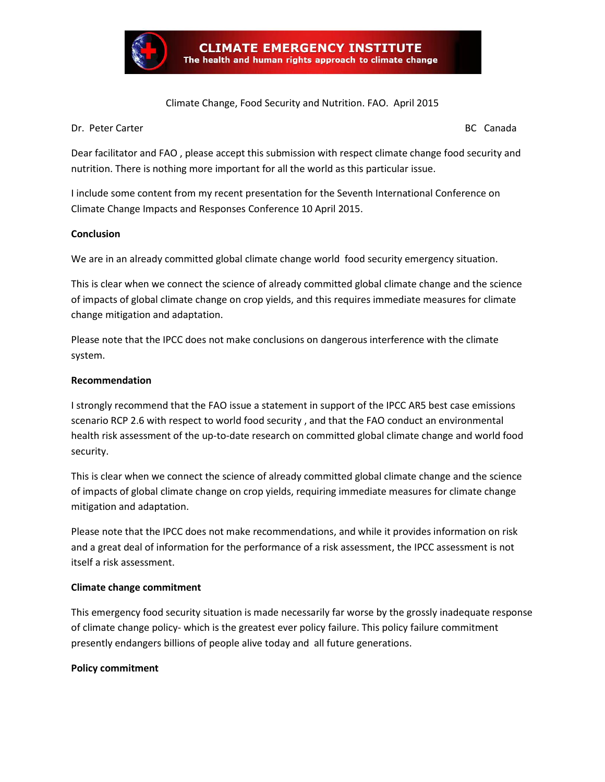

#### Climate Change, Food Security and Nutrition. FAO. April 2015

Dr. Peter Carter BC Canada and Canada and Canada and Canada and Canada and Canada and Canada and Canada and Canada

Dear facilitator and FAO , please accept this submission with respect climate change food security and nutrition. There is nothing more important for all the world as this particular issue.

I include some content from my recent presentation for the Seventh International Conference on Climate Change Impacts and Responses Conference 10 April 2015.

#### **Conclusion**

We are in an already committed global climate change world food security emergency situation.

This is clear when we connect the science of already committed global climate change and the science of impacts of global climate change on crop yields, and this requires immediate measures for climate change mitigation and adaptation.

Please note that the IPCC does not make conclusions on dangerous interference with the climate system.

#### **Recommendation**

I strongly recommend that the FAO issue a statement in support of the IPCC AR5 best case emissions scenario RCP 2.6 with respect to world food security , and that the FAO conduct an environmental health risk assessment of the up-to-date research on committed global climate change and world food security.

This is clear when we connect the science of already committed global climate change and the science of impacts of global climate change on crop yields, requiring immediate measures for climate change mitigation and adaptation.

Please note that the IPCC does not make recommendations, and while it provides information on risk and a great deal of information for the performance of a risk assessment, the IPCC assessment is not itself a risk assessment.

#### **Climate change commitment**

This emergency food security situation is made necessarily far worse by the grossly inadequate response of climate change policy- which is the greatest ever policy failure. This policy failure commitment presently endangers billions of people alive today and all future generations.

#### **Policy commitment**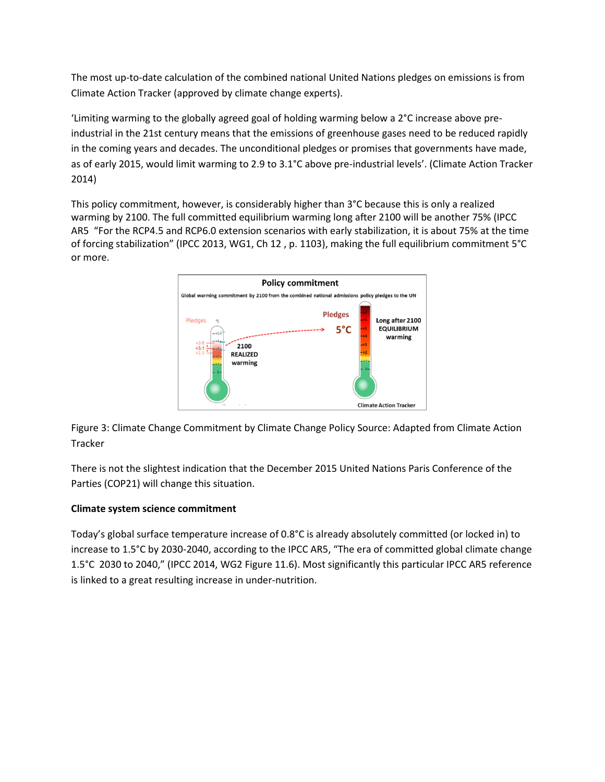The most up-to-date calculation of the combined national United Nations pledges on emissions is from Climate Action Tracker (approved by climate change experts).

'Limiting warming to the globally agreed goal of holding warming below a 2°C increase above preindustrial in the 21st century means that the emissions of greenhouse gases need to be reduced rapidly in the coming years and decades. The unconditional pledges or promises that governments have made, as of early 2015, would limit warming to 2.9 to 3.1°C above pre-industrial levels'. (Climate Action Tracker 2014)

This policy commitment, however, is considerably higher than 3°C because this is only a realized warming by 2100. The full committed equilibrium warming long after 2100 will be another 75% (IPCC AR5 "For the RCP4.5 and RCP6.0 extension scenarios with early stabilization, it is about 75% at the time of forcing stabilization" (IPCC 2013, WG1, Ch 12 , p. 1103), making the full equilibrium commitment 5°C or more.



Figure 3: Climate Change Commitment by Climate Change Policy Source: Adapted from Climate Action Tracker

There is not the slightest indication that the December 2015 United Nations Paris Conference of the Parties (COP21) will change this situation.

## **Climate system science commitment**

Today's global surface temperature increase of 0.8°C is already absolutely committed (or locked in) to increase to 1.5°C by 2030-2040, according to the IPCC AR5, "The era of committed global climate change 1.5°C 2030 to 2040," (IPCC 2014, WG2 Figure 11.6). Most significantly this particular IPCC AR5 reference is linked to a great resulting increase in under-nutrition.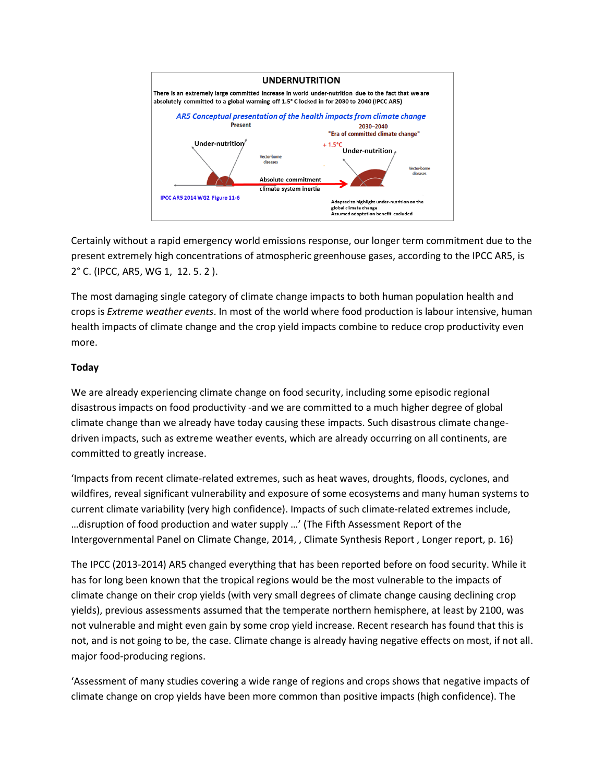

Certainly without a rapid emergency world emissions response, our longer term commitment due to the present extremely high concentrations of atmospheric greenhouse gases, according to the IPCC AR5, is 2° C. (IPCC, AR5, WG 1, 12. 5. 2 ).

The most damaging single category of climate change impacts to both human population health and crops is *Extreme weather events*. In most of the world where food production is labour intensive, human health impacts of climate change and the crop yield impacts combine to reduce crop productivity even more.

### **Today**

We are already experiencing climate change on food security, including some episodic regional disastrous impacts on food productivity -and we are committed to a much higher degree of global climate change than we already have today causing these impacts. Such disastrous climate changedriven impacts, such as extreme weather events, which are already occurring on all continents, are committed to greatly increase.

'Impacts from recent climate-related extremes, such as heat waves, droughts, floods, cyclones, and wildfires, reveal significant vulnerability and exposure of some ecosystems and many human systems to current climate variability (very high confidence). Impacts of such climate-related extremes include, …disruption of food production and water supply …' (The Fifth Assessment Report of the Intergovernmental Panel on Climate Change, 2014, , Climate Synthesis Report , Longer report, p. 16)

The IPCC (2013-2014) AR5 changed everything that has been reported before on food security. While it has for long been known that the tropical regions would be the most vulnerable to the impacts of climate change on their crop yields (with very small degrees of climate change causing declining crop yields), previous assessments assumed that the temperate northern hemisphere, at least by 2100, was not vulnerable and might even gain by some crop yield increase. Recent research has found that this is not, and is not going to be, the case. Climate change is already having negative effects on most, if not all. major food-producing regions.

'Assessment of many studies covering a wide range of regions and crops shows that negative impacts of climate change on crop yields have been more common than positive impacts (high confidence). The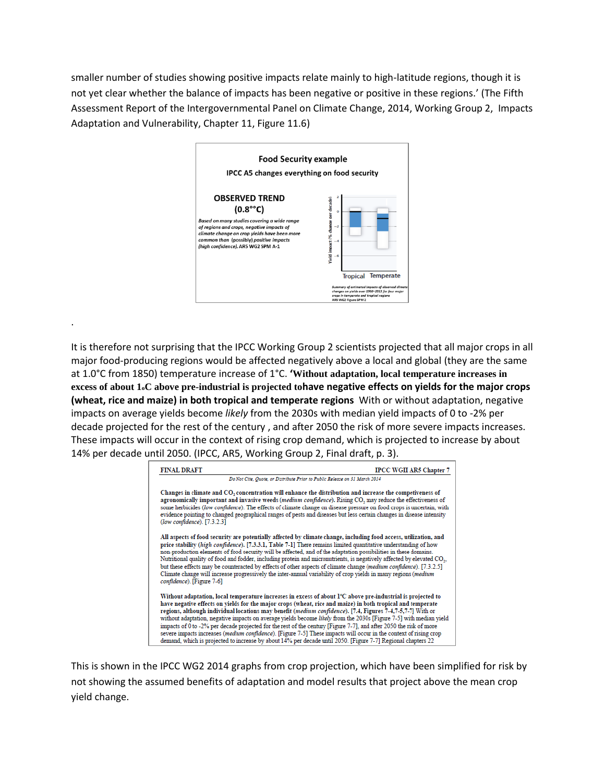smaller number of studies showing positive impacts relate mainly to high-latitude regions, though it is not yet clear whether the balance of impacts has been negative or positive in these regions.' (The Fifth Assessment Report of the Intergovernmental Panel on Climate Change, 2014, Working Group 2, Impacts Adaptation and Vulnerability, Chapter 11, Figure 11.6)



.

It is therefore not surprising that the IPCC Working Group 2 scientists projected that all major crops in all major food-producing regions would be affected negatively above a local and global (they are the same at 1.0°C from 1850) temperature increase of 1°C. **'Without adaptation, local temperature increases in excess of about 1oC above pre-industrial is projected tohave negative effects on yields for the major crops (wheat, rice and maize) in both tropical and temperate regions** With or without adaptation, negative impacts on average yields become *likely* from the 2030s with median yield impacts of 0 to -2% per decade projected for the rest of the century , and after 2050 the risk of more severe impacts increases. These impacts will occur in the context of rising crop demand, which is projected to increase by about 14% per decade until 2050. (IPCC, AR5, Working Group 2, Final draft, p. 3).

| <b>FINAL DRAFT</b><br><b>IPCC WGII AR5 Chapter 7</b>                                                                                                                                                                                                                                                                                                                                                                                                                                                                                                                                                                                                                                                                                                                                                                     |
|--------------------------------------------------------------------------------------------------------------------------------------------------------------------------------------------------------------------------------------------------------------------------------------------------------------------------------------------------------------------------------------------------------------------------------------------------------------------------------------------------------------------------------------------------------------------------------------------------------------------------------------------------------------------------------------------------------------------------------------------------------------------------------------------------------------------------|
| Do Not Cite, Quote, or Distribute Prior to Public Release on 31 March 2014                                                                                                                                                                                                                                                                                                                                                                                                                                                                                                                                                                                                                                                                                                                                               |
| Changes in climate and CO, concentration will enhance the distribution and increase the competiveness of<br>agronomically important and invasive weeds (medium confidence). Rising CO, may reduce the effectiveness of<br>some herbicides (low confidence). The effects of climate change on disease pressure on food crops is uncertain, with<br>evidence pointing to changed geographical ranges of pests and diseases but less certain changes in disease intensity<br>$(low confidence)$ . [7.3.2.3]                                                                                                                                                                                                                                                                                                                 |
| All aspects of food security are potentially affected by climate change, including food access, utilization, and<br>price stability (high confidence). [7.3.3.1, Table 7-1] There remains limited quantitative understanding of how<br>non-production elements of food security will be affected, and of the adaptation possibilities in these domains.<br>Nutritional quality of food and fodder, including protein and micronutrients, is negatively affected by elevated CO <sub>2</sub> ,<br>but these effects may be counteracted by effects of other aspects of climate change (medium confidence). [7.3.2.5]<br>Climate change will increase progressively the inter-annual variability of crop yields in many regions (medium<br>confidence). [Figure 7-6]                                                       |
| Without adaptation, local temperature increases in excess of about 1°C above pre-industrial is projected to<br>have negative effects on vields for the major crops (wheat, rice and maize) in both tropical and temperate<br>regions, although individual locations may benefit (medium confidence). [7.4, Figures 7-4,7-5,7-7] With or<br>without adaptation, negative impacts on average yields become likely from the 2030s [Figure 7-5] with median yield<br>impacts of 0 to -2% per decade projected for the rest of the century [Figure 7-7], and after 2050 the risk of more<br>severe impacts increases (medium confidence). [Figure 7-5] These impacts will occur in the context of rising crop<br>demand, which is projected to increase by about 14% per decade until 2050. [Figure 7-7] Regional chapters 22 |

This is shown in the IPCC WG2 2014 graphs from crop projection, which have been simplified for risk by not showing the assumed benefits of adaptation and model results that project above the mean crop yield change.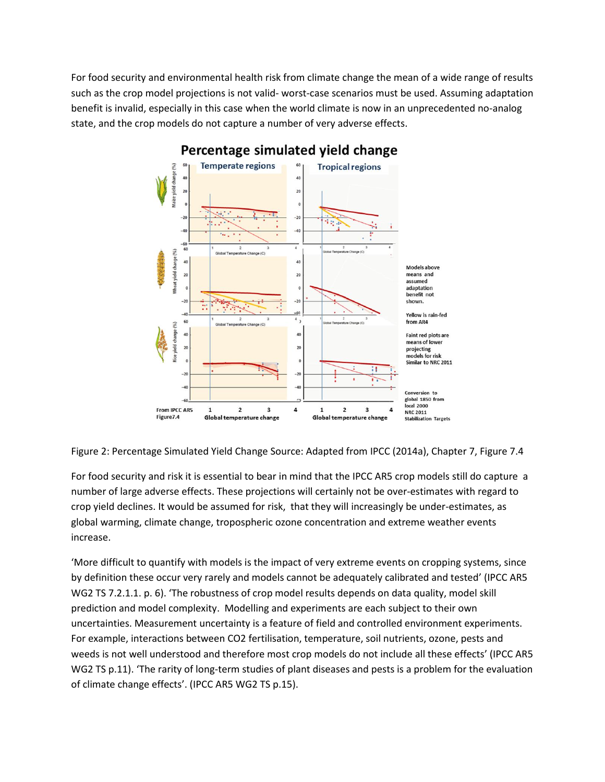For food security and environmental health risk from climate change the mean of a wide range of results such as the crop model projections is not valid- worst-case scenarios must be used. Assuming adaptation benefit is invalid, especially in this case when the world climate is now in an unprecedented no-analog state, and the crop models do not capture a number of very adverse effects.



# Percentage simulated yield change

Figure 2: Percentage Simulated Yield Change Source: Adapted from IPCC (2014a), Chapter 7, Figure 7.4

For food security and risk it is essential to bear in mind that the IPCC AR5 crop models still do capture a number of large adverse effects. These projections will certainly not be over-estimates with regard to crop yield declines. It would be assumed for risk, that they will increasingly be under-estimates, as global warming, climate change, tropospheric ozone concentration and extreme weather events increase.

'More difficult to quantify with models is the impact of very extreme events on cropping systems, since by definition these occur very rarely and models cannot be adequately calibrated and tested' (IPCC AR5 WG2 TS 7.2.1.1. p. 6). 'The robustness of crop model results depends on data quality, model skill prediction and model complexity. Modelling and experiments are each subject to their own uncertainties. Measurement uncertainty is a feature of field and controlled environment experiments. For example, interactions between CO2 fertilisation, temperature, soil nutrients, ozone, pests and weeds is not well understood and therefore most crop models do not include all these effects' (IPCC AR5 WG2 TS p.11). 'The rarity of long-term studies of plant diseases and pests is a problem for the evaluation of climate change effects'. (IPCC AR5 WG2 TS p.15).